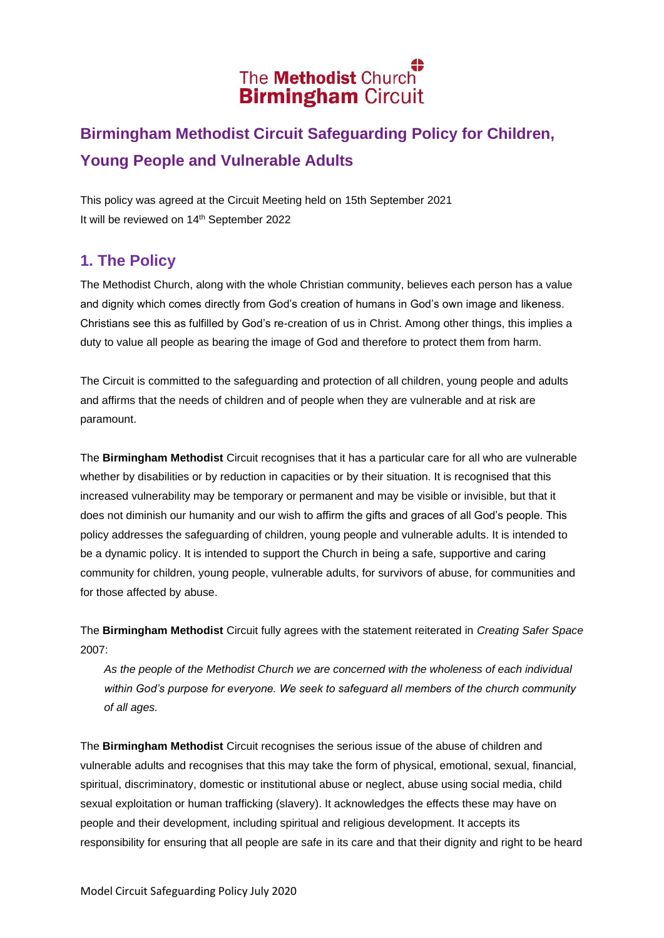# The **Methodist** Church **Birmingham Circuit**

## **Birmingham Methodist Circuit Safeguarding Policy for Children, Young People and Vulnerable Adults**

This policy was agreed at the Circuit Meeting held on 15th September 2021 It will be reviewed on 14<sup>th</sup> September 2022

## **1. The Policy**

The Methodist Church, along with the whole Christian community, believes each person has a value and dignity which comes directly from God's creation of humans in God's own image and likeness. Christians see this as fulfilled by God's re-creation of us in Christ. Among other things, this implies a duty to value all people as bearing the image of God and therefore to protect them from harm.

The Circuit is committed to the safeguarding and protection of all children, young people and adults and affirms that the needs of children and of people when they are vulnerable and at risk are paramount.

The **Birmingham Methodist** Circuit recognises that it has a particular care for all who are vulnerable whether by disabilities or by reduction in capacities or by their situation. It is recognised that this increased vulnerability may be temporary or permanent and may be visible or invisible, but that it does not diminish our humanity and our wish to affirm the gifts and graces of all God's people. This policy addresses the safeguarding of children, young people and vulnerable adults. It is intended to be a dynamic policy. It is intended to support the Church in being a safe, supportive and caring community for children, young people, vulnerable adults, for survivors of abuse, for communities and for those affected by abuse.

The **Birmingham Methodist** Circuit fully agrees with the statement reiterated in *Creating Safer Space*  2007:

*As the people of the Methodist Church we are concerned with the wholeness of each individual within God's purpose for everyone. We seek to safeguard all members of the church community of all ages.* 

The **Birmingham Methodist** Circuit recognises the serious issue of the abuse of children and vulnerable adults and recognises that this may take the form of physical, emotional, sexual, financial, spiritual, discriminatory, domestic or institutional abuse or neglect, abuse using social media, child sexual exploitation or human trafficking (slavery). It acknowledges the effects these may have on people and their development, including spiritual and religious development. It accepts its responsibility for ensuring that all people are safe in its care and that their dignity and right to be heard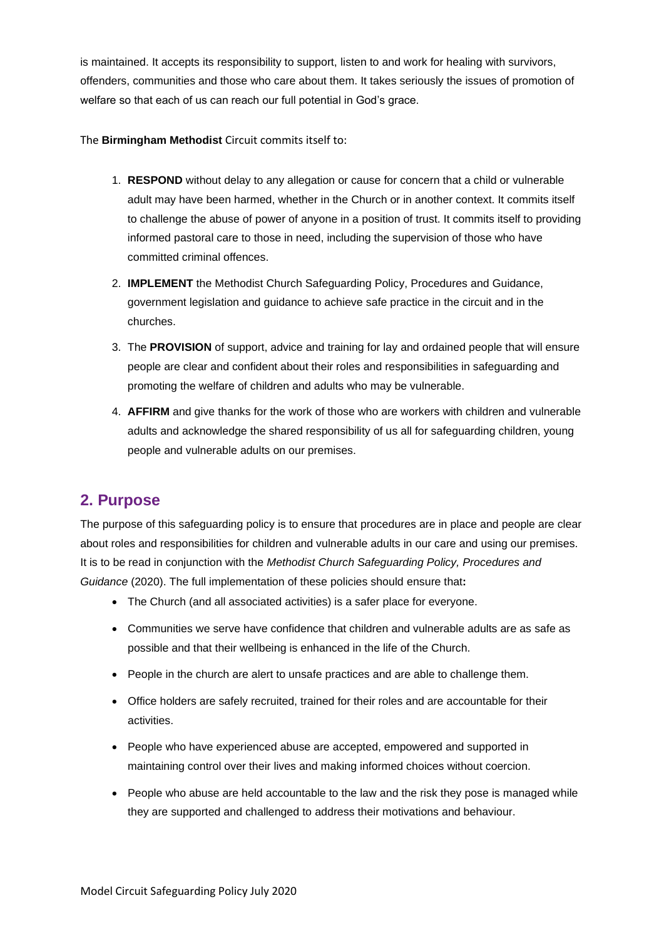is maintained. It accepts its responsibility to support, listen to and work for healing with survivors, offenders, communities and those who care about them. It takes seriously the issues of promotion of welfare so that each of us can reach our full potential in God's grace.

The **Birmingham Methodist** Circuit commits itself to:

- 1. **RESPOND** without delay to any allegation or cause for concern that a child or vulnerable adult may have been harmed, whether in the Church or in another context. It commits itself to challenge the abuse of power of anyone in a position of trust. It commits itself to providing informed pastoral care to those in need, including the supervision of those who have committed criminal offences.
- 2. **IMPLEMENT** the Methodist Church Safeguarding Policy, Procedures and Guidance, government legislation and guidance to achieve safe practice in the circuit and in the churches.
- 3. The **PROVISION** of support, advice and training for lay and ordained people that will ensure people are clear and confident about their roles and responsibilities in safeguarding and promoting the welfare of children and adults who may be vulnerable.
- 4. **AFFIRM** and give thanks for the work of those who are workers with children and vulnerable adults and acknowledge the shared responsibility of us all for safeguarding children, young people and vulnerable adults on our premises.

## **2. Purpose**

The purpose of this safeguarding policy is to ensure that procedures are in place and people are clear about roles and responsibilities for children and vulnerable adults in our care and using our premises. It is to be read in conjunction with the *Methodist Church Safeguarding Policy, Procedures and Guidance* (2020). The full implementation of these policies should ensure that**:**

- The Church (and all associated activities) is a safer place for everyone.
- Communities we serve have confidence that children and vulnerable adults are as safe as possible and that their wellbeing is enhanced in the life of the Church.
- People in the church are alert to unsafe practices and are able to challenge them.
- Office holders are safely recruited, trained for their roles and are accountable for their activities.
- People who have experienced abuse are accepted, empowered and supported in maintaining control over their lives and making informed choices without coercion.
- People who abuse are held accountable to the law and the risk they pose is managed while they are supported and challenged to address their motivations and behaviour.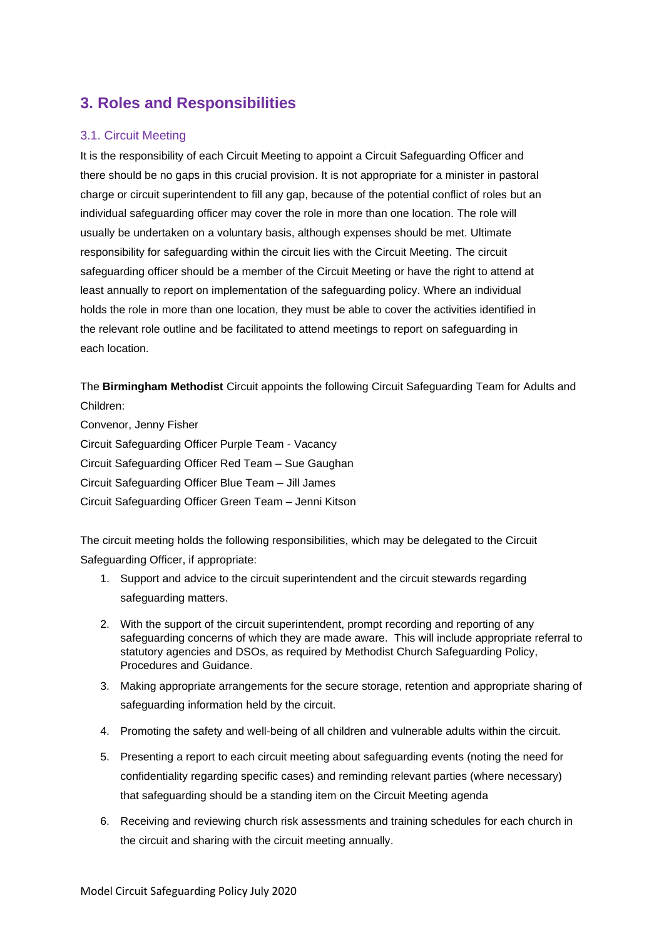## **3. Roles and Responsibilities**

#### 3.1. Circuit Meeting

It is the responsibility of each Circuit Meeting to appoint a Circuit Safeguarding Officer and there should be no gaps in this crucial provision. It is not appropriate for a minister in pastoral charge or circuit superintendent to fill any gap, because of the potential conflict of roles but an individual safeguarding officer may cover the role in more than one location. The role will usually be undertaken on a voluntary basis, although expenses should be met. Ultimate responsibility for safeguarding within the circuit lies with the Circuit Meeting. The circuit safeguarding officer should be a member of the Circuit Meeting or have the right to attend at least annually to report on implementation of the safeguarding policy. Where an individual holds the role in more than one location, they must be able to cover the activities identified in the relevant role outline and be facilitated to attend meetings to report on safeguarding in each location.

The **Birmingham Methodist** Circuit appoints the following Circuit Safeguarding Team for Adults and Children:

Convenor, Jenny Fisher Circuit Safeguarding Officer Purple Team - Vacancy Circuit Safeguarding Officer Red Team – Sue Gaughan Circuit Safeguarding Officer Blue Team – Jill James Circuit Safeguarding Officer Green Team – Jenni Kitson

The circuit meeting holds the following responsibilities, which may be delegated to the Circuit Safeguarding Officer, if appropriate:

- 1. Support and advice to the circuit superintendent and the circuit stewards regarding safeguarding matters.
- 2. With the support of the circuit superintendent, prompt recording and reporting of any safeguarding concerns of which they are made aware. This will include appropriate referral to statutory agencies and DSOs, as required by Methodist Church Safeguarding Policy, Procedures and Guidance.
- 3. Making appropriate arrangements for the secure storage, retention and appropriate sharing of safeguarding information held by the circuit.
- 4. Promoting the safety and well-being of all children and vulnerable adults within the circuit.
- 5. Presenting a report to each circuit meeting about safeguarding events (noting the need for confidentiality regarding specific cases) and reminding relevant parties (where necessary) that safeguarding should be a standing item on the Circuit Meeting agenda
- 6. Receiving and reviewing church risk assessments and training schedules for each church in the circuit and sharing with the circuit meeting annually.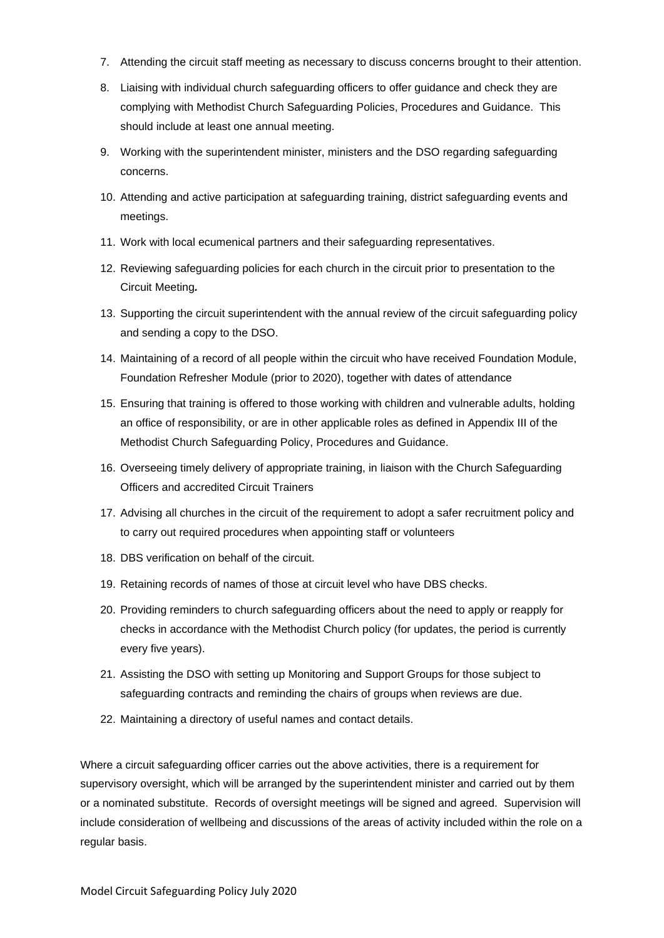- 7. Attending the circuit staff meeting as necessary to discuss concerns brought to their attention.
- 8. Liaising with individual church safeguarding officers to offer guidance and check they are complying with Methodist Church Safeguarding Policies, Procedures and Guidance. This should include at least one annual meeting.
- 9. Working with the superintendent minister, ministers and the DSO regarding safeguarding concerns.
- 10. Attending and active participation at safeguarding training, district safeguarding events and meetings.
- 11. Work with local ecumenical partners and their safeguarding representatives.
- 12. Reviewing safeguarding policies for each church in the circuit prior to presentation to the Circuit Meeting*.*
- 13. Supporting the circuit superintendent with the annual review of the circuit safeguarding policy and sending a copy to the DSO.
- 14. Maintaining of a record of all people within the circuit who have received Foundation Module, Foundation Refresher Module (prior to 2020), together with dates of attendance
- 15. Ensuring that training is offered to those working with children and vulnerable adults, holding an office of responsibility, or are in other applicable roles as defined in Appendix III of the Methodist Church Safeguarding Policy, Procedures and Guidance.
- 16. Overseeing timely delivery of appropriate training, in liaison with the Church Safeguarding Officers and accredited Circuit Trainers
- 17. Advising all churches in the circuit of the requirement to adopt a safer recruitment policy and to carry out required procedures when appointing staff or volunteers
- 18. DBS verification on behalf of the circuit.
- 19. Retaining records of names of those at circuit level who have DBS checks.
- 20. Providing reminders to church safeguarding officers about the need to apply or reapply for checks in accordance with the Methodist Church policy (for updates, the period is currently every five years).
- 21. Assisting the DSO with setting up Monitoring and Support Groups for those subject to safeguarding contracts and reminding the chairs of groups when reviews are due.
- 22. Maintaining a directory of useful names and contact details.

Where a circuit safeguarding officer carries out the above activities, there is a requirement for supervisory oversight, which will be arranged by the superintendent minister and carried out by them or a nominated substitute. Records of oversight meetings will be signed and agreed. Supervision will include consideration of wellbeing and discussions of the areas of activity included within the role on a regular basis.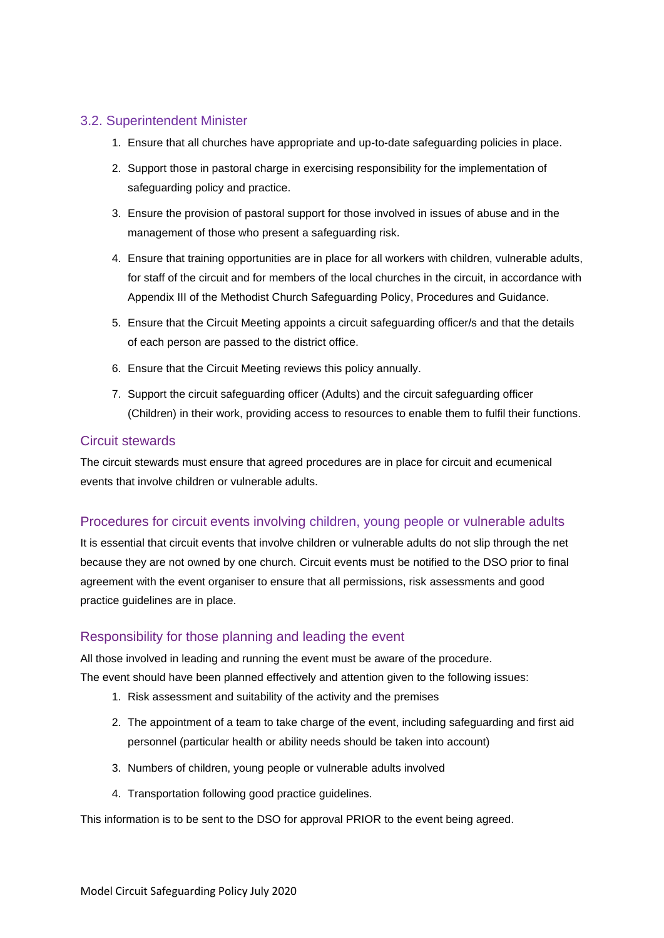#### 3.2. Superintendent Minister

- 1. Ensure that all churches have appropriate and up-to-date safeguarding policies in place.
- 2. Support those in pastoral charge in exercising responsibility for the implementation of safeguarding policy and practice.
- 3. Ensure the provision of pastoral support for those involved in issues of abuse and in the management of those who present a safeguarding risk.
- 4. Ensure that training opportunities are in place for all workers with children, vulnerable adults, for staff of the circuit and for members of the local churches in the circuit, in accordance with Appendix III of the Methodist Church Safeguarding Policy, Procedures and Guidance.
- 5. Ensure that the Circuit Meeting appoints a circuit safeguarding officer/s and that the details of each person are passed to the district office.
- 6. Ensure that the Circuit Meeting reviews this policy annually.
- 7. Support the circuit safeguarding officer (Adults) and the circuit safeguarding officer (Children) in their work, providing access to resources to enable them to fulfil their functions.

#### Circuit stewards

The circuit stewards must ensure that agreed procedures are in place for circuit and ecumenical events that involve children or vulnerable adults.

#### Procedures for circuit events involving children, young people or vulnerable adults

It is essential that circuit events that involve children or vulnerable adults do not slip through the net because they are not owned by one church. Circuit events must be notified to the DSO prior to final agreement with the event organiser to ensure that all permissions, risk assessments and good practice guidelines are in place.

#### Responsibility for those planning and leading the event

All those involved in leading and running the event must be aware of the procedure.

The event should have been planned effectively and attention given to the following issues:

- 1. Risk assessment and suitability of the activity and the premises
- 2. The appointment of a team to take charge of the event, including safeguarding and first aid personnel (particular health or ability needs should be taken into account)
- 3. Numbers of children, young people or vulnerable adults involved
- 4. Transportation following good practice guidelines.

This information is to be sent to the DSO for approval PRIOR to the event being agreed.